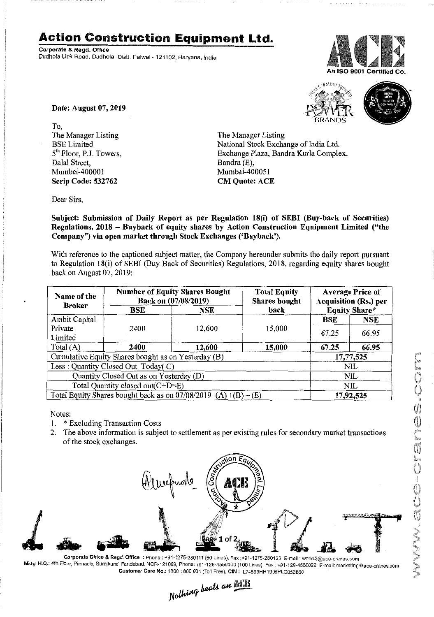## **Action Construction Equipment Ltd.**

Corporate & Regd. Office Dudhola Link Road. Dudhola, Distt. Palwal - 121102. Haryana, India





Date: August 07, 2019

To, The Manager Listing BSE Limited 5<sup>th</sup> Floor, P.J. Towers, Dalal Street, Mumbai-400001 Scrip Code: 532762

The Manager Listing National Stock Exchange of India Ltd. Exchange Plaza, Bandra Kurla Complex, Bandra (E), Mumbai-400051 CM Quote: ACE

Dear Sirs,

Subject: Submission of Daily Report as per Regulation 18(i) of SEBI (Buy-back of Securities) Regulations, 2018 - Buyback of equity shares by Action Construction Equipment Limited ("the Company") via open market through Stock Exchanges ('Buyback').

With reference to the captioned subject matter, the Company hereunder submits the daily report pursuant to Regulation 18(i) of SEBI (Buy Back of Securities) Regulations, 2018, regarding equity shares bought back on August 07,2019:

| Name of the<br><b>Broker</b>                                           | <b>Number of Equity Shares Bought</b><br>Back on (07/08/2019) |        | <b>Total Equity</b><br><b>Shares bought</b> | <b>Average Price of</b><br><b>Acquisition (Rs.) per</b> |            |
|------------------------------------------------------------------------|---------------------------------------------------------------|--------|---------------------------------------------|---------------------------------------------------------|------------|
|                                                                        | BSE                                                           | NSE    | back                                        | <b>Equity Share*</b>                                    |            |
| Ambit Capital                                                          |                                                               |        |                                             | BSE                                                     | <b>NSE</b> |
| Private                                                                | 2400                                                          | 12,600 | 15,000                                      | 67.25                                                   | 66.95      |
| Limited                                                                |                                                               |        |                                             |                                                         |            |
| Total $(A)$                                                            | 2400                                                          | 12,600 | 15,000                                      | 67.25                                                   | 66.95      |
| Cumulative Equity Shares bought as on Yesterday (B)                    |                                                               |        |                                             | 17,77,525                                               |            |
| Less: Quantity Closed Out Today(C)                                     |                                                               |        |                                             | NIL.                                                    |            |
| Quantity Closed Out as on Yesterday (D)                                |                                                               |        |                                             | NIL                                                     |            |
| Total Quantity closed out(C+D=E)                                       |                                                               |        |                                             | NIL                                                     |            |
| Total Equity Shares bought back as on $07/08/2019$ (A) $\pm (B) - (E)$ |                                                               |        |                                             | 17,92,525                                               |            |

Notes:

- 1. \* Excluding Transaction Costs
- 2. The above information is subject to settlement as per existing rules for secondary market transactions of the stock exchanges.



Corporate Office & Regd. Office: Phone: +91-1275-280111 (50 Lines), Fax:+91-1275-280133. E-mail: works2@ace-cranes.com Mktg. H.Q.:4th Floor, Pinnacle, Surajkund, Faridabad, NCR-121009, Phone:+91-129·4550000 (100 Lines), Fax: +91·129-4550022, E-mail: marketing@ace'cranes.com Customer Care No.: 18001800 Q04(Toll Free), CrN: L74899HR1995PLC053860

Nothing beats an ACTE